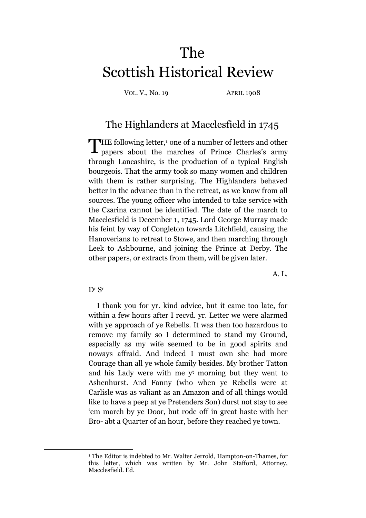## The Scottish Historical Review

VOL. V., No. 19 APRIL 1908

## The Highlanders at Macclesfield in 1745

THE following letter,<sup>1</sup> one of a number of letters and other<br>papers about the marches of Prince Charles's army papers about the marches of Prince Charles's army through Lancashire, is the production of a typical English bourgeois. That the army took so many women and children with them is rather surprising. The Highlanders behaved better in the advance than in the retreat, as we know from all sources. The young officer who intended to take service with the Czarina cannot be identified. The date of the march to Macclesfield is December 1, 1745. Lord George Murray made his feint by way of Congleton towards Litchfield, causing the Hanoverians to retreat to Stowe, and then marching through Leek to Ashbourne, and joining the Prince at Derby. The other papers, or extracts from them, will be given later.

A. L.

## D<sup>r</sup> S<sup>r</sup>

<u>.</u>

I thank you for yr. kind advice, but it came too late, for within a few hours after I recvd. yr. Letter we were alarmed with ye approach of ye Rebells. It was then too hazardous to remove my family so I determined to stand my Ground, especially as my wife seemed to be in good spirits and noways affraid. And indeed I must own she had more Courage than all ye whole family besides. My brother Tatton and his Lady were with me y<sup>t</sup> morning but they went to Ashenhurst. And Fanny (who when ye Rebells were at Carlisle was as valiant as an Amazon and of all things would like to have a peep at ye Pretenders Son) durst not stay to see 'em march by ye Door, but rode off in great haste with her Bro- abt a Quarter of an hour, before they reached ye town.

<sup>1</sup> The Editor is indebted to Mr. Walter Jerrold, Hampton-on-Thames, for this letter, which was written by Mr. John Stafford, Attorney, Macclesfield. Ed.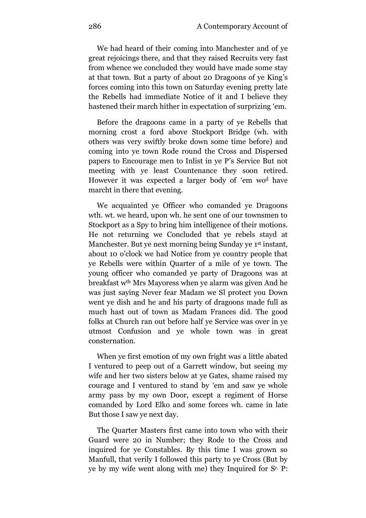We had heard of their coming into Manchester and of ye great rejoicings there, and that they raised Recruits very fast from whence we concluded they would have made some stay at that town. But a party of about 20 Dragoons of ye King's forces coming into this town on Saturday evening pretty late the Rebells had immediate Notice of it and I believe they hastened their march hither in expectation of surprizing 'em.

Before the dragoons came in a party of ye Rebells that morning crost a ford above Stockport Bridge (wh. with others was very swiftly broke down some time before) and coming into ye town Rode round the Cross and Dispersed papers to Encourage men to Inlist in ye P's Service But not meeting with ye least Countenance they soon retired. However it was expected a larger body of 'em wo<sup>d</sup> have marcht in there that evening.

We acquainted ye Officer who comanded ye Dragoons wth. wt. we heard, upon wh. he sent one of our townsmen to Stockport as a Spy to bring him intelligence of their motions. He not returning we Concluded that ye rebels stayd at Manchester. But ye next morning being Sunday ye 1<sup>st</sup> instant, about 10 o'clock we had Notice from ye country people that ye Rebells were within Quarter of a mile of ye town. The young officer who comanded ye party of Dragoons was at breakfast wth Mrs Mayoress when ye alarm was given And he was just saying Never fear Madam we Sl protect you Down went ye dish and he and his party of dragoons made full as much hast out of town as Madam Frances did. The good folks at Church ran out before half ye Service was over in ye utmost Confusion and ye whole town was in great consternation.

When ye first emotion of my own fright was a little abated I ventured to peep out of a Garrett window, but seeing my wife and her two sisters below at ye Gates, shame raised my courage and I ventured to stand by 'em and saw ye whole army pass by my own Door, except a regiment of Horse comanded by Lord Elko and some forces wh. came in late But those I saw ye next day.

The Quarter Masters first came into town who with their Guard were 20 in Number; they Rode to the Cross and inquired for ye Constables. By this time I was grown so Manfull, that verily I followed this party to ye Cross (But by ye by my wife went along with me) they Inquired for Sr. P: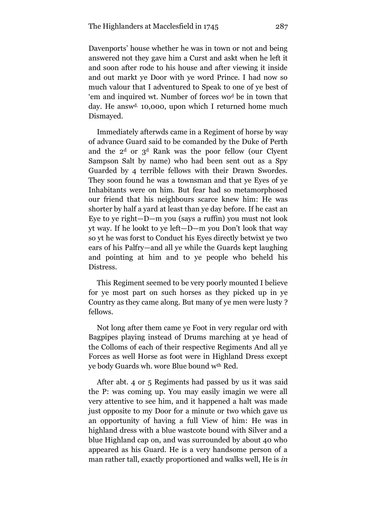Davenports' house whether he was in town or not and being answered not they gave him a Curst and askt when he left it and soon after rode to his house and after viewing it inside and out markt ye Door with ye word Prince. I had now so much valour that I adventured to Speak to one of ye best of 'em and inquired wt. Number of forces wo<sup>d</sup> be in town that day. He answ<sup>d.</sup> 10,000, upon which I returned home much Dismayed.

Immediately afterwds came in a Regiment of horse by way of advance Guard said to be comanded by the Duke of Perth and the  $2<sup>d</sup>$  or  $3<sup>d</sup>$  Rank was the poor fellow (our Clyent Sampson Salt by name) who had been sent out as a Spy Guarded by 4 terrible fellows with their Drawn Swordes. They soon found he was a townsman and that ye Eyes of ye Inhabitants were on him. But fear had so metamorphosed our friend that his neighbours scarce knew him: He was shorter by half a yard at least than ye day before. If he cast an Eye to ye right—D—m you (says a ruffin) you must not look yt way. If he lookt to ye left—D—m you Don't look that way so yt he was forst to Conduct his Eyes directly betwixt ye two ears of his Palfry—and all ye while the Guards kept laughing and pointing at him and to ye people who beheld his Distress.

This Regiment seemed to be very poorly mounted I believe for ye most part on such horses as they picked up in ye Country as they came along. But many of ye men were lusty ? fellows.

Not long after them came ye Foot in very regular ord with Bagpipes playing instead of Drums marching at ye head of the Colloms of each of their respective Regiments And all ye Forces as well Horse as foot were in Highland Dress except ye body Guards wh. wore Blue bound wth Red.

After abt. 4 or 5 Regiments had passed by us it was said the P: was coming up. You may easily imagin we were all very attentive to see him, and it happened a halt was made just opposite to my Door for a minute or two which gave us an opportunity of having a full View of him: He was in highland dress with a blue wastcote bound with Silver and a blue Highland cap on, and was surrounded by about 40 who appeared as his Guard. He is a very handsome person of a man rather tall, exactly proportioned and walks well, He is *in*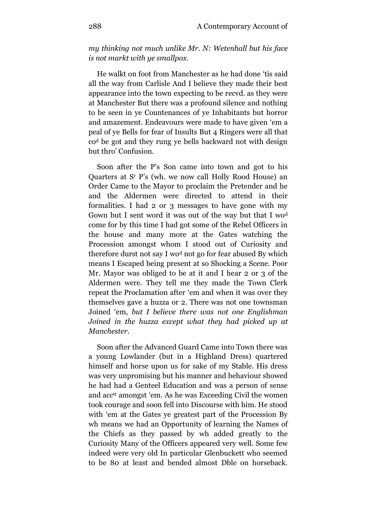*my thinking not much unlike Mr. N: Wetenhall but his face is not markt with ye smallpox*.

He walkt on foot from Manchester as he had done 'tis said all the way from Carlisle And I believe they made their best appearance into the town expecting to be recvd. as they were at Manchester But there was a profound silence and nothing to be seen in ye Countenances of ye Inhabitants but horror and amazement. Endeavours were made to have given 'em a peal of ye Bells for fear of Insults But 4 Ringers were all that co<sup>d</sup> be got and they rung ye bells backward not with design but thro' Confusion.

Soon after the P's Son came into town and got to his Quarters at S<sup>r</sup> P's (wh. we now call Holly Rood House) an Order Came to the Mayor to proclaim the Pretender and he and the Aldermen were directed to attend in their formalities. I had 2 or 3 messages to have gone with my Gown but I sent word it was out of the way but that I wo<sup>d</sup> come for by this time I had got some of the Rebel Officers in the house and many more at the Gates watching the Procession amongst whom I stood out of Curiosity and therefore durst not say I wo<sup>d</sup> not go for fear abused By which means I Escaped being present at so Shocking a Scene. Poor Mr. Mayor was obliged to be at it and I hear 2 or 3 of the Aldermen were. They tell me they made the Town Clerk repeat the Proclamation after 'em and when it was over they themselves gave a huzza or 2. There was not one townsman Joined 'em, *but I believe there was not one Englishman Joined in the huzza except what they had picked up at Manchester*.

Soon after the Advanced Guard Came into Town there was a young Lowlander (but in a Highland Dress) quartered himself and horse upon us for sake of my Stable. His dress was very unpromising but his manner and behaviour showed he had had a Genteel Education and was a person of sense and acc tt amongst 'em. As he was Exceeding Civil the women took courage and soon fell into Discourse with him. He stood with 'em at the Gates ye greatest part of the Procession By wh means we had an Opportunity of learning the Names of the Chiefs as they passed by wh added greatly to the Curiosity Many of the Officers appeared very well. Some few indeed were very old In particular Glenbuckett who seemed to be 80 at least and bended almost Dble on horseback.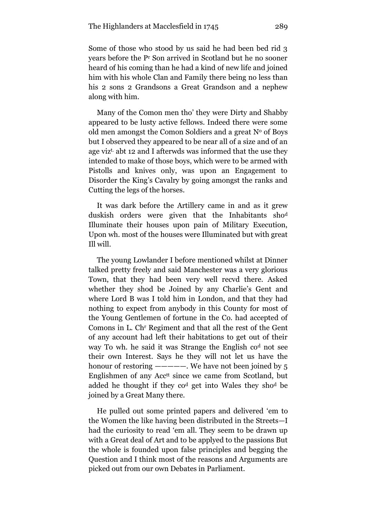Some of those who stood by us said he had been bed rid 3 years before the P<sup>r</sup> Son arrived in Scotland but he no sooner heard of his coming than he had a kind of new life and joined him with his whole Clan and Family there being no less than his 2 sons 2 Grandsons a Great Grandson and a nephew along with him.

Many of the Comon men tho' they were Dirty and Shabby appeared to be lusty active fellows. Indeed there were some old men amongst the Comon Soldiers and a great  $N<sup>o</sup>$  of Boys but I observed they appeared to be near all of a size and of an age viz<sup>t.</sup> abt 12 and I afterwds was informed that the use they intended to make of those boys, which were to be armed with Pistolls and knives only, was upon an Engagement to Disorder the King's Cavalry by going amongst the ranks and Cutting the legs of the horses.

It was dark before the Artillery came in and as it grew duskish orders were given that the Inhabitants sho<sup>d</sup> Illuminate their houses upon pain of Military Execution, Upon wh. most of the houses were Illuminated but with great Ill will.

The young Lowlander I before mentioned whilst at Dinner talked pretty freely and said Manchester was a very glorious Town, that they had been very well recvd there. Asked whether they shod be Joined by any Charlie's Gent and where Lord B was I told him in London, and that they had nothing to expect from anybody in this County for most of the Young Gentlemen of fortune in the Co. had accepted of Comons in L. Ch<sup>r</sup> Regiment and that all the rest of the Gent of any account had left their habitations to get out of their way To wh. he said it was Strange the English co<sup>d</sup> not see their own Interest. Says he they will not let us have the honour of restoring  $-\text{---}$ . We have not been joined by 5 Englishmen of any Acc<sup>tt</sup> since we came from Scotland, but added he thought if they co<sup>d</sup> get into Wales they sho<sup>d</sup> be joined by a Great Many there.

He pulled out some printed papers and delivered 'em to the Women the like having been distributed in the Streets—I had the curiosity to read 'em all. They seem to be drawn up with a Great deal of Art and to be applyed to the passions But the whole is founded upon false principles and begging the Question and I think most of the reasons and Arguments are picked out from our own Debates in Parliament.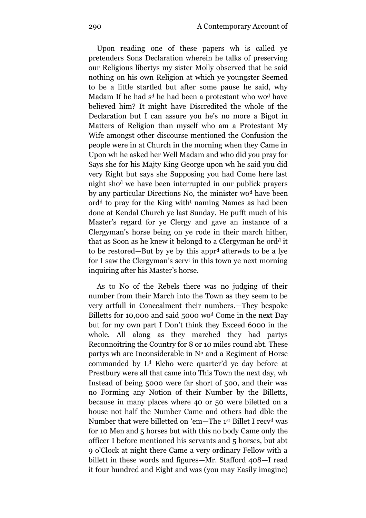Upon reading one of these papers wh is called ye pretenders Sons Declaration wherein he talks of preserving our Religious libertys my sister Molly observed that he said nothing on his own Religion at which ye youngster Seemed to be a little startled but after some pause he said, why Madam If he had s<sup>d</sup> he had been a protestant who wo<sup>d</sup> have believed him? It might have Discredited the whole of the Declaration but I can assure you he's no more a Bigot in Matters of Religion than myself who am a Protestant My Wife amongst other discourse mentioned the Confusion the people were in at Church in the morning when they Came in Upon wh he asked her Well Madam and who did you pray for Says she for his Majty King George upon wh he said you did very Right but says she Supposing you had Come here last night sho<sup>d</sup> we have been interrupted in our publick prayers by any particular Directions No, the minister wo<sup>d</sup> have been ord<sup>d</sup> to pray for the King with<sup>t</sup> naming Names as had been done at Kendal Church ye last Sunday. He pufft much of his Master's regard for ye Clergy and gave an instance of a Clergyman's horse being on ye rode in their march hither, that as Soon as he knew it belongd to a Clergyman he ord<sup>d</sup> it to be restored—But by ye by this appr<sup>d</sup> afterwds to be a lye for I saw the Clergyman's serv<sup>t</sup> in this town ye next morning inquiring after his Master's horse.

As to No of the Rebels there was no judging of their number from their March into the Town as they seem to be very artfull in Concealment their numbers.—They bespoke Billetts for 10,000 and said 5000 wo<sup>d</sup> Come in the next Day but for my own part I Don't think they Exceed 6000 in the whole. All along as they marched they had partys Reconnoitring the Country for 8 or 10 miles round abt. These partys wh are Inconsiderable in  $N<sup>o</sup>$  and a Regiment of Horse commanded by L<sup>d</sup> Elcho were quarter'd ye day before at Prestbury were all that came into This Town the next day, wh Instead of being 5000 were far short of 500, and their was no Forming any Notion of their Number by the Billetts, because in many places where 40 or 50 were biletted on a house not half the Number Came and others had dble the Number that were billetted on 'em—The 1st Billet I recv<sup>d</sup> was for 10 Men and 5 horses but with this no body Came only the officer I before mentioned his servants and 5 horses, but abt 9 o'Clock at night there Came a very ordinary Fellow with a billett in these words and figures—Mr. Stafford 408—I read it four hundred and Eight and was (you may Easily imagine)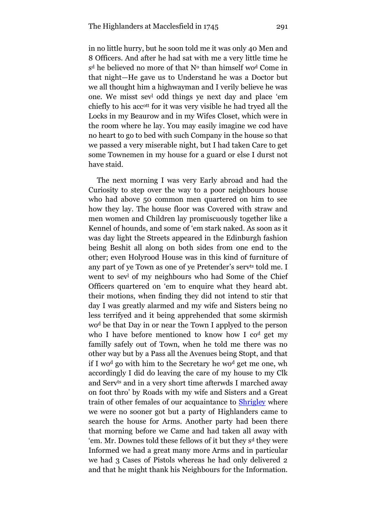in no little hurry, but he soon told me it was only 40 Men and 8 Officers. And after he had sat with me a very little time he s<sup>d</sup> he believed no more of that N<sup>o</sup> than himself wo<sup>d</sup> Come in that night—He gave us to Understand he was a Doctor but we all thought him a highwayman and I verily believe he was one. We misst sev<sup>l</sup> odd things ye next day and place 'em chiefly to his accott for it was very visible he had tryed all the Locks in my Beaurow and in my Wifes Closet, which were in the room where he lay. You may easily imagine we cod have no heart to go to bed with such Company in the house so that we passed a very miserable night, but I had taken Care to get some Townemen in my house for a guard or else I durst not have staid.

The next morning I was very Early abroad and had the Curiosity to step over the way to a poor neighbours house who had above 50 common men quartered on him to see how they lay. The house floor was Covered with straw and men women and Children lay promiscuously together like a Kennel of hounds, and some of 'em stark naked. As soon as it was day light the Streets appeared in the Edinburgh fashion being Beshit all along on both sides from one end to the other; even Holyrood House was in this kind of furniture of any part of ye Town as one of ye Pretender's serv<sup>ts</sup> told me. I went to sev<sup>l</sup> of my neighbours who had Some of the Chief Officers quartered on 'em to enquire what they heard abt. their motions, when finding they did not intend to stir that day I was greatly alarmed and my wife and Sisters being no less terrifyed and it being apprehended that some skirmish wo<sup>d</sup> be that Day in or near the Town I applyed to the person who I have before mentioned to know how I cod get my familly safely out of Town, when he told me there was no other way but by a Pass all the Avenues being Stopt, and that if I wo<sup>d</sup> go with him to the Secretary he wo<sup>d</sup> get me one, wh accordingly I did do leaving the care of my house to my Clk and Servts and in a very short time afterwds I marched away on foot thro' by Roads with my wife and Sisters and a Great train of other females of our acquaintance to **Shrigley** where we were no sooner got but a party of Highlanders came to search the house for Arms. Another party had been there that morning before we Came and had taken all away with 'em. Mr. Downes told these fellows of it but they s<sup>d</sup> they were Informed we had a great many more Arms and in particular we had 3 Cases of Pistols whereas he had only delivered 2 and that he might thank his Neighbours for the Information.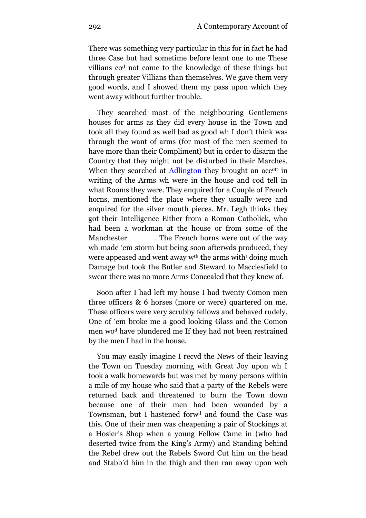There was something very particular in this for in fact he had three Case but had sometime before leant one to me These villians co<sup>d</sup> not come to the knowledge of these things but through greater Villians than themselves. We gave them very good words, and I showed them my pass upon which they went away without further trouble.

They searched most of the neighbouring Gentlemens houses for arms as they did every house in the Town and took all they found as well bad as good wh I don't think was through the want of arms (for most of the men seemed to have more than their Compliment) but in order to disarm the Country that they might not be disturbed in their Marches. When they searched at [Adlington](http://maps.google.com/maps?f=q&source=s_q&hl=en&geocode=&q=Adlington,+Macclesfield,+United+Kingdom&sll=54.971308,-2.900391&sspn=4.799942,10.854492&ie=UTF8&hq=&hnear=Adlington,+Macclesfield,+United+Kingdom&ll=53.317749,-2.133064&spn=0.080602,0.169601&t=h&z=13&iwloc=A) they brought an acc<sup>ott</sup> in writing of the Arms wh were in the house and cod tell in what Rooms they were. They enquired for a Couple of French horns, mentioned the place where they usually were and enquired for the silver mouth pieces. Mr. Legh thinks they got their Intelligence Either from a Roman Catholick, who had been a workman at the house or from some of the Manchester . The French horns were out of the way wh made 'em storm but being soon afterwds produced, they were appeased and went away wth the arms with<sup>t</sup> doing much Damage but took the Butler and Steward to Macclesfield to swear there was no more Arms Concealed that they knew of.

Soon after I had left my house I had twenty Comon men three officers & 6 horses (more or were) quartered on me. These officers were very scrubby fellows and behaved rudely. One of 'em broke me a good looking Glass and the Comon men wo<sup>d</sup> have plundered me If they had not been restrained by the men I had in the house.

You may easily imagine I recvd the News of their leaving the Town on Tuesday morning with Great Joy upon wh I took a walk homewards but was met by many persons within a mile of my house who said that a party of the Rebels were returned back and threatened to burn the Town down because one of their men had been wounded by a Townsman, but I hastened forw<sup>d</sup> and found the Case was this. One of their men was cheapening a pair of Stockings at a Hosier's Shop when a young Fellow Came in (who had deserted twice from the King's Army) and Standing behind the Rebel drew out the Rebels Sword Cut him on the head and Stabb'd him in the thigh and then ran away upon wch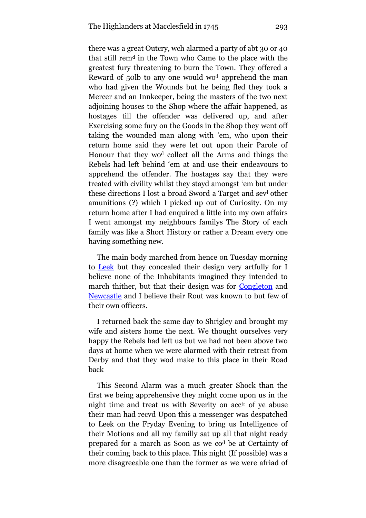there was a great Outcry, wch alarmed a party of abt 30 or 40 that still rem<sup>d</sup> in the Town who Came to the place with the greatest fury threatening to burn the Town. They offered a Reward of 50lb to any one would wo<sup>d</sup> apprehend the man who had given the Wounds but he being fled they took a Mercer and an Innkeeper, being the masters of the two next adjoining houses to the Shop where the affair happened, as hostages till the offender was delivered up, and after Exercising some fury on the Goods in the Shop they went off taking the wounded man along with 'em, who upon their return home said they were let out upon their Parole of Honour that they wo<sup>d</sup> collect all the Arms and things the Rebels had left behind 'em at and use their endeavours to apprehend the offender. The hostages say that they were treated with civility whilst they stayd amongst 'em but under these directions I lost a broad Sword a Target and sev<sup>l</sup> other amunitions (?) which I picked up out of Curiosity. On my return home after I had enquired a little into my own affairs I went amongst my neighbours familys The Story of each family was like a Short History or rather a Dream every one having something new.

The main body marched from hence on Tuesday morning to [Leek](http://maps.google.com/maps?f=q&source=s_q&hl=en&geocode=&q=Leek,,+United+Kingdom&sll=53.261029,-2.128408&sspn=0.009768,0.0212&ie=UTF8&hq=&hnear=Leek,+United+Kingdom&ll=53.105362,-2.026806&spn=0.081002,0.169601&t=h&z=13&iwloc=A) but they concealed their design very artfully for I believe none of the Inhabitants imagined they intended to march thither, but that their design was for [Congleton](http://maps.google.com/maps?f=q&source=s_q&hl=en&geocode=&q=Congleton+,+United+Kingdom&sll=53.105362,-2.026806&sspn=0.081002,0.169601&ie=UTF8&hq=&hnear=Congleton,+Cheshire+East,+United+Kingdom&t=h&z=13&iwloc=A) and [Newcastle](http://maps.google.com/maps?f=q&source=s_q&hl=en&geocode=&q=Newcastle-under-Lyme,+United+Kingdom&sll=53.164064,-2.209969&sspn=0.161783,0.339203&ie=UTF8&hq=&hnear=Newcastle-under-Lyme,+United+Kingdom&t=h&z=13&iwloc=A) and I believe their Rout was known to but few of their own officers.

I returned back the same day to Shrigley and brought my wife and sisters home the next. We thought ourselves very happy the Rebels had left us but we had not been above two days at home when we were alarmed with their retreat from Derby and that they wod make to this place in their Road back

This Second Alarm was a much greater Shock than the first we being apprehensive they might come upon us in the night time and treat us with Severity on acc<sup>tr</sup> of ye abuse their man had recvd Upon this a messenger was despatched to Leek on the Fryday Evening to bring us Intelligence of their Motions and all my familly sat up all that night ready prepared for a march as Soon as we co<sup>d</sup> be at Certainty of their coming back to this place. This night (If possible) was a more disagreeable one than the former as we were afriad of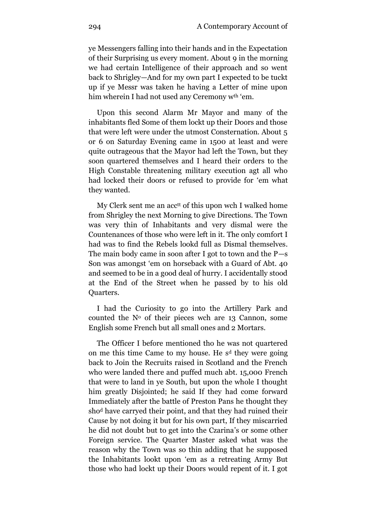ye Messengers falling into their hands and in the Expectation of their Surprising us every moment. About 9 in the morning we had certain Intelligence of their approach and so went back to Shrigley—And for my own part I expected to be tuckt up if ye Messr was taken he having a Letter of mine upon him wherein I had not used any Ceremony wth 'em.

Upon this second Alarm Mr Mayor and many of the inhabitants fled Some of them lockt up their Doors and those that were left were under the utmost Consternation. About 5 or 6 on Saturday Evening came in 1500 at least and were quite outrageous that the Mayor had left the Town, but they soon quartered themselves and I heard their orders to the High Constable threatening military execution agt all who had locked their doors or refused to provide for 'em what they wanted.

My Clerk sent me an acc<sup>tt</sup> of this upon wch I walked home from Shrigley the next Morning to give Directions. The Town was very thin of Inhabitants and very dismal were the Countenances of those who were left in it. The only comfort I had was to find the Rebels lookd full as Dismal themselves. The main body came in soon after I got to town and the P—s Son was amongst 'em on horseback with a Guard of Abt. 40 and seemed to be in a good deal of hurry. I accidentally stood at the End of the Street when he passed by to his old Quarters.

I had the Curiosity to go into the Artillery Park and counted the  $N<sup>o</sup>$  of their pieces wch are 13 Cannon, some English some French but all small ones and 2 Mortars.

The Officer I before mentioned tho he was not quartered on me this time Came to my house. He s<sup>d</sup> they were going back to Join the Recruits raised in Scotland and the French who were landed there and puffed much abt. 15,000 French that were to land in ye South, but upon the whole I thought him greatly Disjointed; he said If they had come forward Immediately after the battle of Preston Pans he thought they sho<sup>d</sup> have carryed their point, and that they had ruined their Cause by not doing it but for his own part, If they miscarried he did not doubt but to get into the Czarina's or some other Foreign service. The Quarter Master asked what was the reason why the Town was so thin adding that he supposed the Inhabitants lookt upon 'em as a retreating Army But those who had lockt up their Doors would repent of it. I got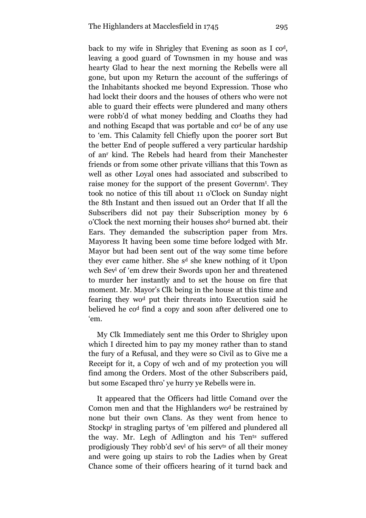back to my wife in Shrigley that Evening as soon as I cod, leaving a good guard of Townsmen in my house and was hearty Glad to hear the next morning the Rebells were all gone, but upon my Return the account of the sufferings of the Inhabitants shocked me beyond Expression. Those who had lockt their doors and the houses of others who were not able to guard their effects were plundered and many others were robb'd of what money bedding and Cloaths they had and nothing Escapd that was portable and co<sup>d</sup> be of any use to 'em. This Calamity fell Chiefly upon the poorer sort But the better End of people suffered a very particular hardship of an<sup>r</sup> kind. The Rebels had heard from their Manchester friends or from some other private villians that this Town as well as other Loyal ones had associated and subscribed to raise money for the support of the present Governm<sup>t</sup> . They took no notice of this till about 11 o'Clock on Sunday night the 8th Instant and then issued out an Order that If all the Subscribers did not pay their Subscription money by 6 o'Clock the next morning their houses sho<sup>d</sup> burned abt. their Ears. They demanded the subscription paper from Mrs. Mayoress It having been some time before lodged with Mr. Mayor but had been sent out of the way some time before they ever came hither. She s<sup>d</sup> she knew nothing of it Upon wch Sev<sup>l</sup> of 'em drew their Swords upon her and threatened to murder her instantly and to set the house on fire that moment. Mr. Mayor's Clk being in the house at this time and fearing they wo<sup>d</sup> put their threats into Execution said he believed he co<sup>d</sup> find a copy and soon after delivered one to 'em.

My Clk Immediately sent me this Order to Shrigley upon which I directed him to pay my money rather than to stand the fury of a Refusal, and they were so Civil as to Give me a Receipt for it, a Copy of wch and of my protection you will find among the Orders. Most of the other Subscribers paid, but some Escaped thro' ye hurry ye Rebells were in.

It appeared that the Officers had little Comand over the Comon men and that the Highlanders wo<sup>d</sup> be restrained by none but their own Clans. As they went from hence to Stockp<sup>t</sup> in stragling partys of 'em pilfered and plundered all the way. Mr. Legh of Adlington and his Tents suffered prodigiously They robb'd sev<sup>l</sup> of his servts of all their money and were going up stairs to rob the Ladies when by Great Chance some of their officers hearing of it turnd back and